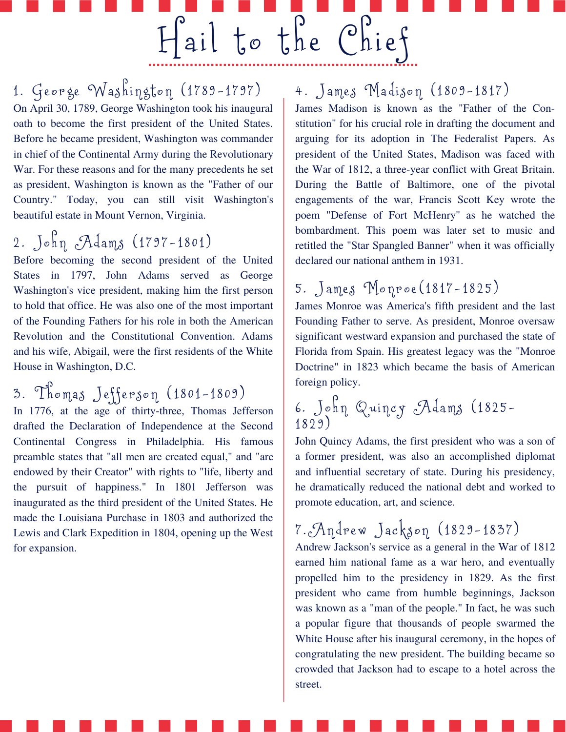1. George Washington  $(1789 - 1797)$ On April 30, 1789, George Washington took his inaugural oath to become the first president of the United States. Before he became president, Washington was commander in chief of the Continental Army during the Revolutionary War. For these reasons and for the many precedents he set as president, Washington is known as the "Father of our Country." Today, you can still visit Washington's beautiful estate in Mount Vernon, Virginia.

# 2. John  $A_{\text{amp}}(1797 - 1801)$

Before becoming the second president of the United States in 1797, John Adams served as George Washington's vice president, making him the first person to hold that office. He was also one of the most important of the Founding Fathers for his role in both the American Revolution and the Constitutional Convention. Adams and his wife, Abigail, were the first residents of the White House in Washington, D.C.

3. Thomas Jefferson (1801-1809)

In 1776, at the age of thirty-three, Thomas Jefferson drafted the Declaration of Independence at the Second Continental Congress in Philadelphia. His famous preamble states that "all men are created equal," and "are endowed by their Creator" with rights to "life, liberty and the pursuit of happiness." In 1801 Jefferson was inaugurated as the third president of the United States. He made the Louisiana Purchase in 1803 and authorized the Lewis and Clark Expedition in 1804, opening up the West for expansion.

### 4. James Madison (1809-1817)

Hail to the Chief

James Madison is known as the "Father of the Con‐ stitution" for his crucial role in drafting the document and arguing for its adoption in The Federalist Papers. As president of the United States, Madison was faced with the War of 1812, a three-year conflict with Great Britain. During the Battle of Baltimore, one of the pivotal engagements of the war, Francis Scott Key wrote the poem "Defense of Fort McHenry'' as he watched the bombardment. This poem was later set to music and retitled the "Star Spangled Banner" when it was officially declared our national anthem in 1931.

### 5. James Monroe (1817-1825)

James Monroe was America's fifth president and the last Founding Father to serve. As president, Monroe oversaw significant westward expansion and purchased the state of Florida from Spain. His greatest legacy was the "Monroe Doctrine" in 1823 which became the basis of American foreign policy.

#### 6 . Jo hn Quincy Ad ams ( 1 8 2 5- 1 8 2 9 )

John Quincy Adams, the first president who was a son of a former president, was also an accomplished diplomat and influential secretary of state. During his presidency, he dramatically reduced the national debt and worked to promote education, art, and science.

# 7. Andrew Jackson (1829-1837)

Andrew Jackson's service as a general in the War of 1812 earned him national fame as a war hero, and eventually propelled him to the presidency in 1829. As the first president who came from humble beginnings, Jackson was known as a "man of the people." In fact, he was such a popular figure that thousands of people swarmed the White House after his inaugural ceremony, in the hopes of congratulating the new president. The building became so crowded that Jackson had to escape to a hotel across the street.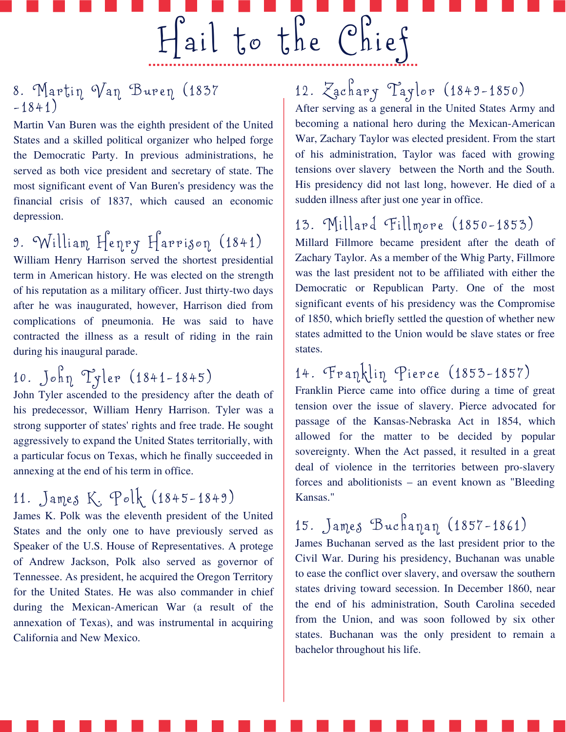8. Martin  $Var$  Buren (1837)  $-1841)$ 

Martin Van Buren was the eighth president of the United States and a skilled political organizer who helped forge the Democratic Party. In previous administrations, he served as both vice president and secretary of state. The most significant event of Van Buren's presidency was the financial crisis of 1837, which caused an economic depression.

9. William Henry Harrison (1841)

William Henry Harrison served the shortest presidential term in American history. He was elected on the strength of his reputation as a military officer. Just thirty-two days after he was inaugurated, however, Harrison died from complications of pneumonia. He was said to have contracted the illness as a result of riding in the rain during his inaugural parade.

# 10. John Tyler  $(1841 - 1845)$

John Tyler ascended to the presidency after the death of his predecessor, William Henry Harrison. Tyler was a strong supporter of states' rights and free trade. He sought aggressively to expand the United States territorially, with a particular focus on Texas, which he finally succeeded in annexing at the end of his term in office.

### 11. James K. Polk (1845-1849)

James K. Polk was the eleventh president of the United States and the only one to have previously served as Speaker of the U.S. House of Representatives. A protege of Andrew Jackson, Polk also served as governor of Tennessee. As president, he acquired the Oregon Territory for the United States. He was also commander in chief during the Mexican-American War (a result of the annexation of Texas), and was instrumental in acquiring California and New Mexico.

# 12. Zachary Taylor (1849-1850)

Hail to the Chief

After serving as a general in the United States Army and becoming a national hero during the Mexican-American War, Zachary Taylor was elected president. From the start of his administration, Taylor was faced with growing tensions over slavery between the North and the South. His presidency did not last long, however. He died of a sudden illness after just one year in office.

#### 13. Millard Fillmore (1850-1853)

Millard Fillmore became president after the death of Zachary Taylor. As a member of the Whig Party, Fillmore was the last president not to be affiliated with either the Democratic or Republican Party. One of the most significant events of his presidency was the Compromise of 1850, which briefly settled the question of whether new states admitted to the Union would be slave states or free states.

### 14. Franklin Pierce (1853-1857)

Franklin Pierce came into office during a time of great tension over the issue of slavery. Pierce advocated for passage of the Kansas-Nebraska Act in 1854, which allowed for the matter to be decided by popular sovereignty. When the Act passed, it resulted in a great deal of violence in the territories between pro-slavery forces and abolitionists – an event known as "Bleeding Kansas."

# 15. James Buchanan (1857-1861)

James Buchanan served as the last president prior to the Civil War. During his presidency, Buchanan was unable to ease the conflict over slavery, and oversaw the southern states driving toward secession. In December 1860, near the end of his administration, South Carolina seceded from the Union, and was soon followed by six other states. Buchanan was the only president to remain a bachelor throughout his life.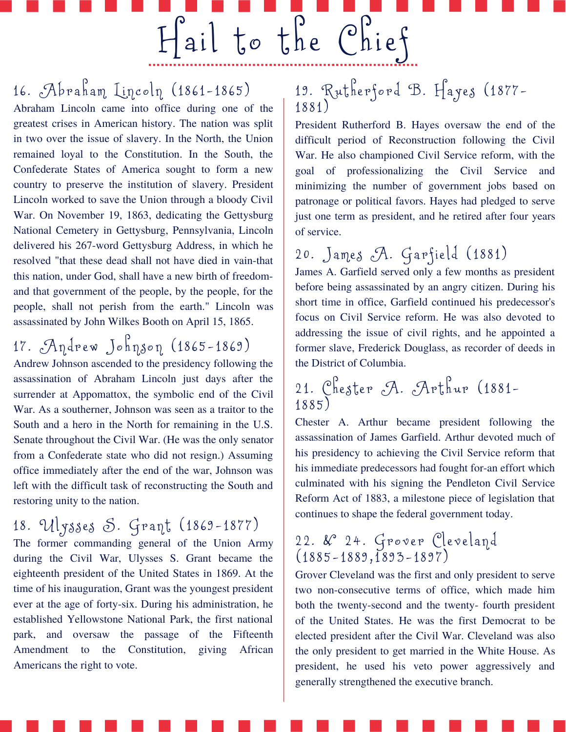16. Abraham Lincoln (1861-1865)

Abraham Lincoln came into office during one of the greatest crises in American history. The nation was split in two over the issue of slavery. In the North, the Union remained loyal to the Constitution. In the South, the Confederate States of America sought to form a new country to preserve the institution of slavery. President Lincoln worked to save the Union through a bloody Civil War. On November 19, 1863, dedicating the Gettysburg National Cemetery in Gettysburg, Pennsylvania, Lincoln delivered his 267-word Gettysburg Address, in which he resolved "that these dead shall not have died in vain-that this nation, under God, shall have a new birth of freedomand that government of the people, by the people, for the people, shall not perish from the earth." Lincoln was assassinated by John Wilkes Booth on April 15, 1865.

17. Andrew Johnson (1865-1869) Andrew Johnson ascended to the presidency following the assassination of Abraham Lincoln just days after the surrender at Appomattox, the symbolic end of the Civil War. As a southerner, Johnson was seen as a traitor to the South and a hero in the North for remaining in the U.S. Senate throughout the Civil War. (He was the only senator from a Confederate state who did not resign.) Assuming office immediately after the end of the war, Johnson was left with the difficult task of reconstructing the South and restoring unity to the nation.

18. Ulysses S. Grant (1869-1877)

The former commanding general of the Union Army during the Civil War, Ulysses S. Grant became the eighteenth president of the United States in 1869. At the time of his inauguration, Grant was the youngest president ever at the age of forty-six. During his administration, he established Yellowstone National Park, the first national park, and oversaw the passage of the Fifteenth Amendment to the Constitution, giving African Americans the right to vote.

#### 19. Rutherford B. Hayes (1877-1 8 8 1 )

 $H$ ail to the Chief

President Rutherford B. Hayes oversaw the end of the difficult period of Reconstruction following the Civil War. He also championed Civil Service reform, with the goal of professionalizing the Civil Service and minimizing the number of government jobs based on patronage or political favors. Hayes had pledged to serve just one term as president, and he retired after four years of service.

### 20. James A. Garfield (1881)

James A. Garfield served only a few months as president before being assassinated by an angry citizen. During his short time in office, Garfield continued his predecessor's focus on Civil Service reform. He was also devoted to addressing the issue of civil rights, and he appointed a former slave, Frederick Douglass, as recorder of deeds in the District of Columbia.

#### 21. Chester A. Arthur (1881-1 8 8 5 )

Chester A. Arthur became president following the assassination of James Garfield. Arthur devoted much of his presidency to achieving the Civil Service reform that his immediate predecessors had fought for-an effort which culminated with his signing the Pendleton Civil Service Reform Act of 1883, a milestone piece of legislation that continues to shape the federal government today.

#### 22. &° 24. Grover Cleveland  $(1885 - 1889, 1893 - 1897)$

Grover Cleveland was the first and only president to serve two non-consecutive terms of office, which made him both the twenty-second and the twenty- fourth president of the United States. He was the first Democrat to be elected president after the Civil War. Cleveland was also the only president to get married in the White House. As president, he used his veto power aggressively and generally strengthened the executive branch.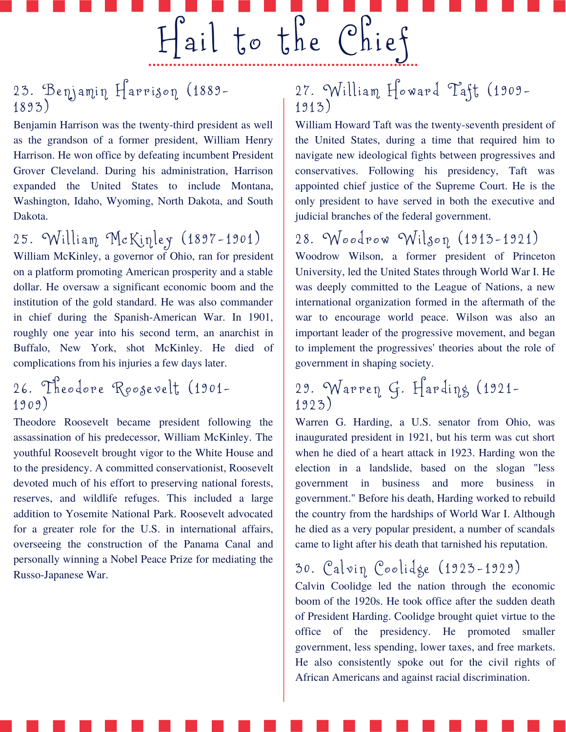#### 23. Benjamin Harrison (1889-1 8 93)

Benjamin Harrison was the twenty-third president as well as the grandson of a former president, William Henry Harrison. He won office by defeating incumbent President Grover Cleveland. During his administration, Harrison expanded the United States to include Montana, Washington, Idaho, Wyoming, North Dakota, and South Dakota.

### 25. William McKinley (1897-1901)

William McKinley, a governor of Ohio, ran for president on a platform promoting American prosperity and a stable dollar. He oversaw a significant economic boom and the institution of the gold standard. He was also commander in chief during the Spanish-American War. In 1901, roughly one year into his second term, an anarchist in Buffalo, New York, shot McKinley. He died of complications from his injuries a few days later.

#### 26. Theodore Roosevelt, (1901-1 9 0 9 )

Theodore Roosevelt became president following the assassination of his predecessor, William McKinley. The youthful Roosevelt brought vigor to the White House and to the presidency. A committed conservationist, Roosevelt devoted much of his effort to preserving national forests, reserves, and wildlife refuges. This included a large addition to Yosemite National Park. Roosevelt advocated for a greater role for the U.S. in international affairs, overseeing the construction of the Panama Canal and personally winning a Nobel Peace Prize for mediating the Russo-Japanese War.

#### 27. William Howard Taft (1909-1 9 13)

Hail to the Chief

William Howard Taft was the twenty-seventh president of the United States, during a time that required him to navigate new ideological fights between progressives and conservatives. Following his presidency, Taft was appointed chief justice of the Supreme Court. He is the only president to have served in both the executive and judicial branches of the federal government.

### 28. Woodrow Wilson  $(1913 - 1921)$

Woodrow Wilson, a former president of Princeton University, led the United States through World War I. He was deeply committed to the League of Nations, a new international organization formed in the aftermath of the war to encourage world peace. Wilson was also an important leader of the progressive movement, and began to implement the progressives' theories about the role of government in shaping society.

#### 29. Warren G. Harding (1921-1 9 23)

Warren G. Harding, a U.S. senator from Ohio, was inaugurated president in 1921, but his term was cut short when he died of a heart attack in 1923. Harding won the election in a landslide, based on the slogan "less government in business and more business in government." Before his death, Harding worked to rebuild the country from the hardships of World War I. Although he died as a very popular president, a number of scandals came to light after his death that tarnished his reputation.

### 30. Calvin Coolidge (1923-1929)

Calvin Coolidge led the nation through the economic boom of the 1920s. He took office after the sudden death of President Harding. Coolidge brought quiet virtue to the office of the presidency. He promoted smaller government, less spending, lower taxes, and free markets. He also consistently spoke out for the civil rights of African Americans and against racial discrimination.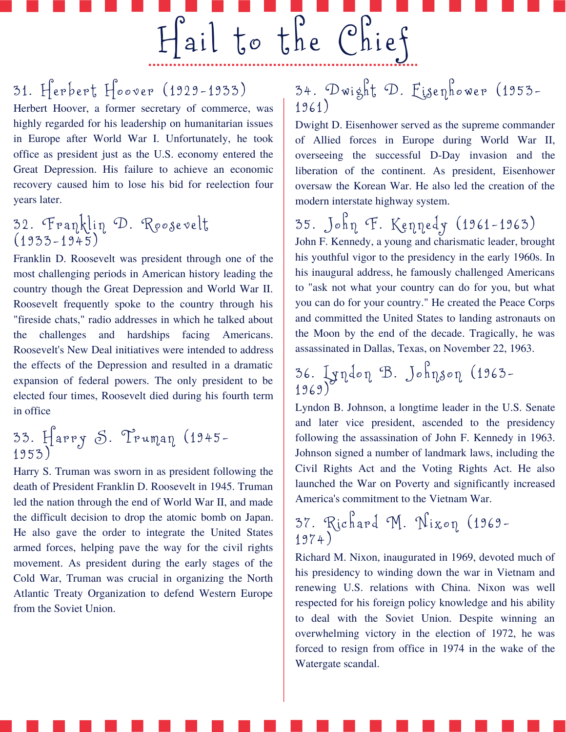31. Herbert Hoover (1929-1933)

Herbert Hoover, a former secretary of commerce, was highly regarded for his leadership on humanitarian issues in Europe after World War I. Unfortunately, he took office as president just as the U.S. economy entered the Great Depression. His failure to achieve an economic recovery caused him to lose his bid for reelection four years later.

#### 32. 'Franklin 'D. 'Koosevelt  $(1933 - 1945)$

Franklin D. Roosevelt was president through one of the most challenging periods in American history leading the country though the Great Depression and World War II. Roosevelt frequently spoke to the country through his "fireside chats," radio addresses in which he talked about the challenges and hardships facing Americans. Roosevelt's New Deal initiatives were intended to address the effects of the Depression and resulted in a dramatic expansion of federal powers. The only president to be elected four times, Roosevelt died during his fourth term in office

#### 33. Harry O. Iruman (1945-1 9 53)

Harry S. Truman was sworn in as president following the death of President Franklin D. Roosevelt in 1945. Truman led the nation through the end of World War II, and made the difficult decision to drop the atomic bomb on Japan. He also gave the order to integrate the United States armed forces, helping pave the way for the civil rights movement. As president during the early stages of the Cold War, Truman was crucial in organizing the North Atlantic Treaty Organization to defend Western Europe from the Soviet Union.

### 34. Dwight D. Eisenhower (1953-1 9 6 1 )

Hail to the Chief

Dwight D. Eisenhower served as the supreme commander of Allied forces in Europe during World War II, overseeing the successful D-Day invasion and the liberation of the continent. As president, Eisenhower oversaw the Korean War. He also led the creation of the modern interstate highway system.

35 . Jo hn F. Kenne dy ( 1 9 6 1-1 9 63) John F. Kennedy, a young and charismatic leader, brought his youthful vigor to the presidency in the early 1960s. In his inaugural address, he famously challenged Americans to "ask not what your country can do for you, but what you can do for your country." He created the Peace Corps and committed the United States to landing astronauts on the Moon by the end of the decade. Tragically, he was assassinated in Dallas, Texas, on November 22, 1963.

#### 36. Lyndon D. Johnson (1963-1 9 6 9 )

Lyndon B. Johnson, a longtime leader in the U.S. Senate and later vice president, ascended to the presidency following the assassination of John F. Kennedy in 1963. Johnson signed a number of landmark laws, including the Civil Rights Act and the Voting Rights Act. He also launched the War on Poverty and significantly increased America's commitment to the Vietnam War.

37 . Ri c h a r d M. Nixon ( 1 9 6 9- 1 9 74)

Richard M. Nixon, inaugurated in 1969, devoted much of his presidency to winding down the war in Vietnam and renewing U.S. relations with China. Nixon was well respected for his foreign policy knowledge and his ability to deal with the Soviet Union. Despite winning an overwhelming victory in the election of 1972, he was forced to resign from office in 1974 in the wake of the Watergate scandal.